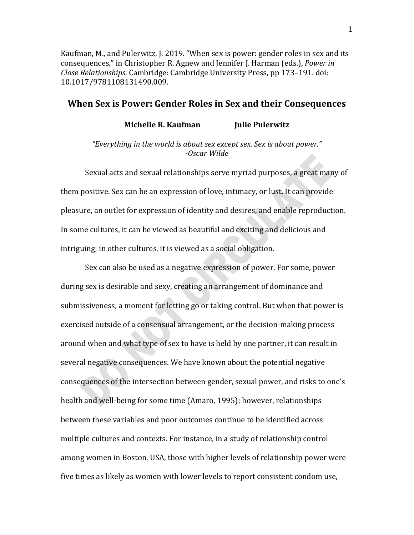Kaufman, M., and Pulerwitz, J. 2019. "When sex is power: gender roles in sex and its consequences," in Christopher R. Agnew and Jennifer J. Harman (eds.), *Power in Close Relationships*. Cambridge: Cambridge University Press, pp 173–191. doi: 10.1017/9781108131490.009.

# **When Sex is Power: Gender Roles in Sex and their Consequences**

**Michelle R. Kaufman Julie Pulerwitz** 

*"Everything in the world is about sex except sex. Sex is about power." -Oscar Wilde*

Sexual acts and sexual relationships serve myriad purposes, a great many of them positive. Sex can be an expression of love, intimacy, or lust. It can provide pleasure, an outlet for expression of identity and desires, and enable reproduction. In some cultures, it can be viewed as beautiful and exciting and delicious and intriguing; in other cultures, it is viewed as a social obligation.

Sex can also be used as a negative expression of power. For some, power during sex is desirable and sexy, creating an arrangement of dominance and submissiveness, a moment for letting go or taking control. But when that power is exercised outside of a consensual arrangement, or the decision-making process around when and what type of sex to have is held by one partner, it can result in several negative consequences. We have known about the potential negative consequences of the intersection between gender, sexual power, and risks to one's health and well-being for some time (Amaro, 1995); however, relationships between these variables and poor outcomes continue to be identified across multiple cultures and contexts. For instance, in a study of relationship control among women in Boston, USA, those with higher levels of relationship power were five times as likely as women with lower levels to report consistent condom use,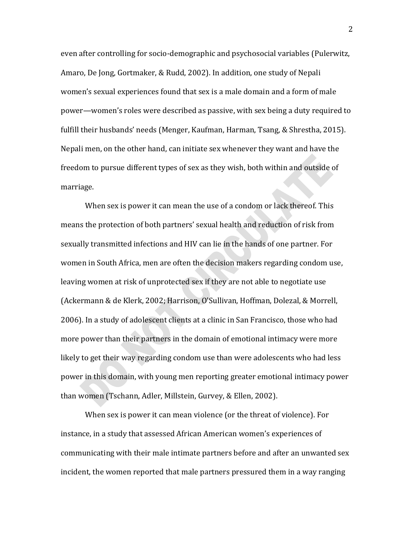even after controlling for socio-demographic and psychosocial variables (Pulerwitz, Amaro, De Jong, Gortmaker, & Rudd, 2002). In addition, one study of Nepali women's sexual experiences found that sex is a male domain and a form of male power—women's roles were described as passive, with sex being a duty required to fulfill their husbands' needs (Menger, Kaufman, Harman, Tsang, & Shrestha, 2015). Nepali men, on the other hand, can initiate sex whenever they want and have the freedom to pursue different types of sex as they wish, both within and outside of marriage.

When sex is power it can mean the use of a condom or lack thereof. This means the protection of both partners' sexual health and reduction of risk from sexually transmitted infections and HIV can lie in the hands of one partner. For women in South Africa, men are often the decision makers regarding condom use, leaving women at risk of unprotected sex if they are not able to negotiate use (Ackermann & de Klerk, 2002; Harrison, O'Sullivan, Hoffman, Dolezal, & Morrell, 2006). In a study of adolescent clients at a clinic in San Francisco, those who had more power than their partners in the domain of emotional intimacy were more likely to get their way regarding condom use than were adolescents who had less power in this domain, with young men reporting greater emotional intimacy power than women (Tschann, Adler, Millstein, Gurvey, & Ellen, 2002).

When sex is power it can mean violence (or the threat of violence). For instance, in a study that assessed African American women's experiences of communicating with their male intimate partners before and after an unwanted sex incident, the women reported that male partners pressured them in a way ranging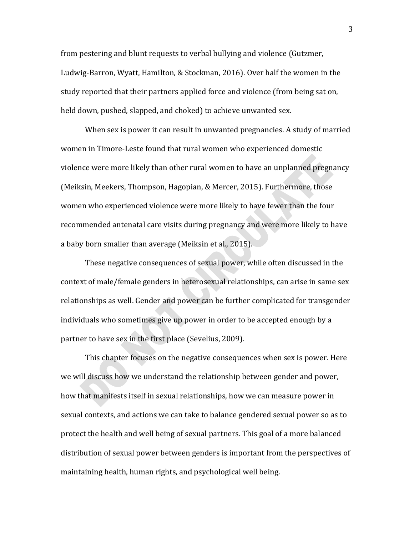from pestering and blunt requests to verbal bullying and violence (Gutzmer, Ludwig-Barron, Wyatt, Hamilton, & Stockman, 2016). Over half the women in the study reported that their partners applied force and violence (from being sat on, held down, pushed, slapped, and choked) to achieve unwanted sex.

When sex is power it can result in unwanted pregnancies. A study of married women in Timore-Leste found that rural women who experienced domestic violence were more likely than other rural women to have an unplanned pregnancy (Meiksin, Meekers, Thompson, Hagopian, & Mercer, 2015). Furthermore, those women who experienced violence were more likely to have fewer than the four recommended antenatal care visits during pregnancy and were more likely to have a baby born smaller than average (Meiksin et al., 2015).

These negative consequences of sexual power, while often discussed in the context of male/female genders in heterosexual relationships, can arise in same sex relationships as well. Gender and power can be further complicated for transgender individuals who sometimes give up power in order to be accepted enough by a partner to have sex in the first place (Sevelius, 2009).

This chapter focuses on the negative consequences when sex is power. Here we will discuss how we understand the relationship between gender and power, how that manifests itself in sexual relationships, how we can measure power in sexual contexts, and actions we can take to balance gendered sexual power so as to protect the health and well being of sexual partners. This goal of a more balanced distribution of sexual power between genders is important from the perspectives of maintaining health, human rights, and psychological well being.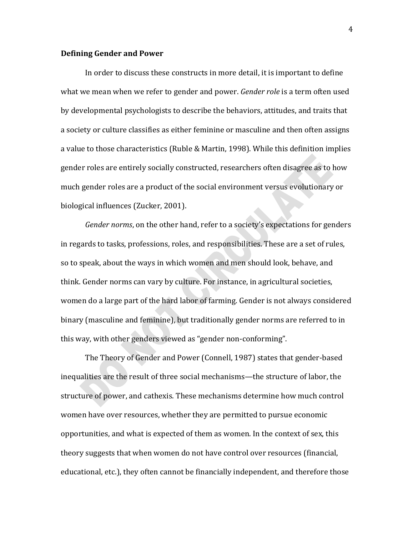#### **Defining Gender and Power**

In order to discuss these constructs in more detail, it is important to define what we mean when we refer to gender and power. *Gender role* is a term often used by developmental psychologists to describe the behaviors, attitudes, and traits that a society or culture classifies as either feminine or masculine and then often assigns a value to those characteristics (Ruble & Martin, 1998). While this definition implies gender roles are entirely socially constructed, researchers often disagree as to how much gender roles are a product of the social environment versus evolutionary or biological influences (Zucker, 2001).

*Gender norms*, on the other hand, refer to a society's expectations for genders in regards to tasks, professions, roles, and responsibilities. These are a set of rules, so to speak, about the ways in which women and men should look, behave, and think. Gender norms can vary by culture. For instance, in agricultural societies, women do a large part of the hard labor of farming. Gender is not always considered binary (masculine and feminine), but traditionally gender norms are referred to in this way, with other genders viewed as "gender non-conforming".

The Theory of Gender and Power (Connell, 1987) states that gender-based inequalities are the result of three social mechanisms—the structure of labor, the structure of power, and cathexis. These mechanisms determine how much control women have over resources, whether they are permitted to pursue economic opportunities, and what is expected of them as women. In the context of sex, this theory suggests that when women do not have control over resources (financial, educational, etc.), they often cannot be financially independent, and therefore those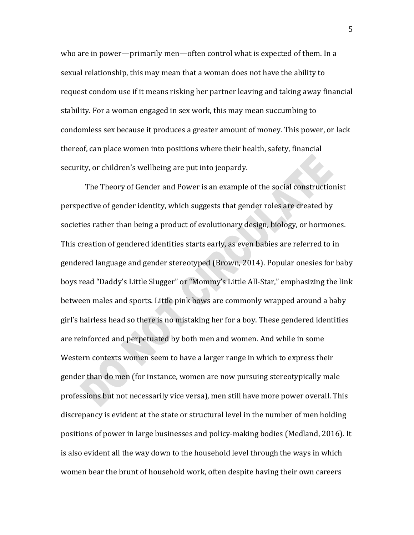who are in power—primarily men—often control what is expected of them. In a sexual relationship, this may mean that a woman does not have the ability to request condom use if it means risking her partner leaving and taking away financial stability. For a woman engaged in sex work, this may mean succumbing to condomless sex because it produces a greater amount of money. This power, or lack thereof, can place women into positions where their health, safety, financial security, or children's wellbeing are put into jeopardy.

The Theory of Gender and Power is an example of the social constructionist perspective of gender identity, which suggests that gender roles are created by societies rather than being a product of evolutionary design, biology, or hormones. This creation of gendered identities starts early, as even babies are referred to in gendered language and gender stereotyped (Brown, 2014). Popular onesies for baby boys read "Daddy's Little Slugger" or "Mommy's Little All-Star," emphasizing the link between males and sports. Little pink bows are commonly wrapped around a baby girl's hairless head so there is no mistaking her for a boy. These gendered identities are reinforced and perpetuated by both men and women. And while in some Western contexts women seem to have a larger range in which to express their gender than do men (for instance, women are now pursuing stereotypically male professions but not necessarily vice versa), men still have more power overall. This discrepancy is evident at the state or structural level in the number of men holding positions of power in large businesses and policy-making bodies (Medland, 2016). It is also evident all the way down to the household level through the ways in which women bear the brunt of household work, often despite having their own careers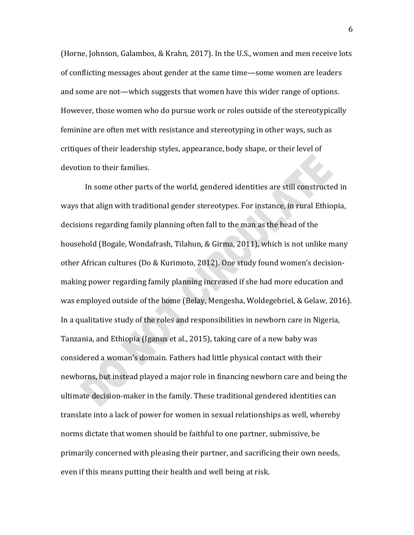(Horne, Johnson, Galambos, & Krahn, 2017). In the U.S., women and men receive lots of conflicting messages about gender at the same time—some women are leaders and some are not—which suggests that women have this wider range of options. However, those women who do pursue work or roles outside of the stereotypically feminine are often met with resistance and stereotyping in other ways, such as critiques of their leadership styles, appearance, body shape, or their level of devotion to their families.

In some other parts of the world, gendered identities are still constructed in ways that align with traditional gender stereotypes. For instance, in rural Ethiopia, decisions regarding family planning often fall to the man as the head of the household (Bogale, Wondafrash, Tilahun, & Girma, 2011), which is not unlike many other African cultures (Do & Kurimoto, 2012). One study found women's decisionmaking power regarding family planning increased if she had more education and was employed outside of the home (Belay, Mengesha, Woldegebriel, & Gelaw, 2016). In a qualitative study of the roles and responsibilities in newborn care in Nigeria, Tanzania, and Ethiopia (Iganus et al., 2015), taking care of a new baby was considered a woman's domain. Fathers had little physical contact with their newborns, but instead played a major role in financing newborn care and being the ultimate decision-maker in the family. These traditional gendered identities can translate into a lack of power for women in sexual relationships as well, whereby norms dictate that women should be faithful to one partner, submissive, be primarily concerned with pleasing their partner, and sacrificing their own needs, even if this means putting their health and well being at risk.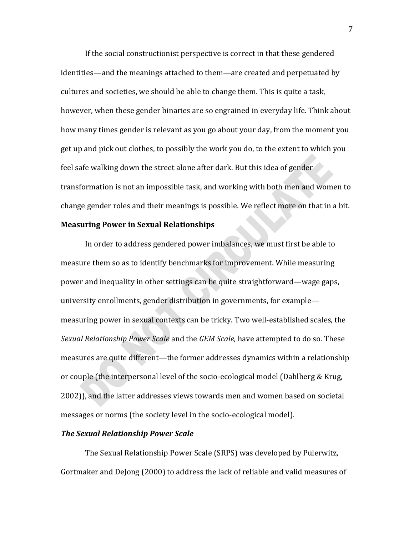If the social constructionist perspective is correct in that these gendered identities—and the meanings attached to them—are created and perpetuated by cultures and societies, we should be able to change them. This is quite a task, however, when these gender binaries are so engrained in everyday life. Think about how many times gender is relevant as you go about your day, from the moment you get up and pick out clothes, to possibly the work you do, to the extent to which you feel safe walking down the street alone after dark. But this idea of gender transformation is not an impossible task, and working with both men and women to change gender roles and their meanings is possible. We reflect more on that in a bit.

#### **Measuring Power in Sexual Relationships**

In order to address gendered power imbalances, we must first be able to measure them so as to identify benchmarks for improvement. While measuring power and inequality in other settings can be quite straightforward—wage gaps, university enrollments, gender distribution in governments, for example measuring power in sexual contexts can be tricky. Two well-established scales, the *Sexual Relationship Power Scale* and the *GEM Scale,* have attempted to do so. These measures are quite different—the former addresses dynamics within a relationship or couple (the interpersonal level of the socio-ecological model (Dahlberg & Krug, 2002)), and the latter addresses views towards men and women based on societal messages or norms (the society level in the socio-ecological model).

#### *The Sexual Relationship Power Scale*

The Sexual Relationship Power Scale (SRPS) was developed by Pulerwitz, Gortmaker and DeJong (2000) to address the lack of reliable and valid measures of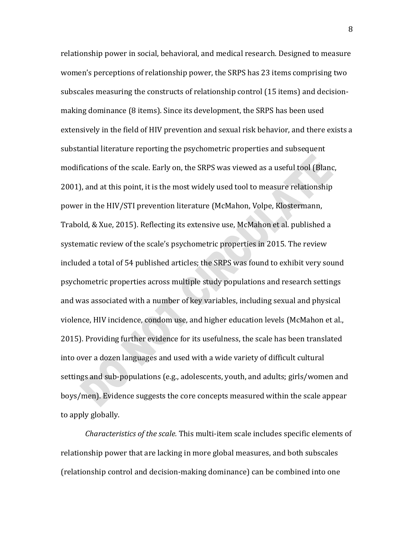relationship power in social, behavioral, and medical research. Designed to measure women's perceptions of relationship power, the SRPS has 23 items comprising two subscales measuring the constructs of relationship control (15 items) and decisionmaking dominance (8 items). Since its development, the SRPS has been used extensively in the field of HIV prevention and sexual risk behavior, and there exists a substantial literature reporting the psychometric properties and subsequent modifications of the scale. Early on, the SRPS was viewed as a useful tool (Blanc, 2001), and at this point, it is the most widely used tool to measure relationship power in the HIV/STI prevention literature (McMahon, Volpe, Klostermann, Trabold, & Xue, 2015). Reflecting its extensive use, McMahon et al. published a systematic review of the scale's psychometric properties in 2015. The review included a total of 54 published articles; the SRPS was found to exhibit very sound psychometric properties across multiple study populations and research settings and was associated with a number of key variables, including sexual and physical violence, HIV incidence, condom use, and higher education levels (McMahon et al., 2015). Providing further evidence for its usefulness, the scale has been translated into over a dozen languages and used with a wide variety of difficult cultural settings and sub-populations (e.g., adolescents, youth, and adults; girls/women and boys/men). Evidence suggests the core concepts measured within the scale appear to apply globally.

*Characteristics of the scale.* This multi-item scale includes specific elements of relationship power that are lacking in more global measures, and both subscales (relationship control and decision-making dominance) can be combined into one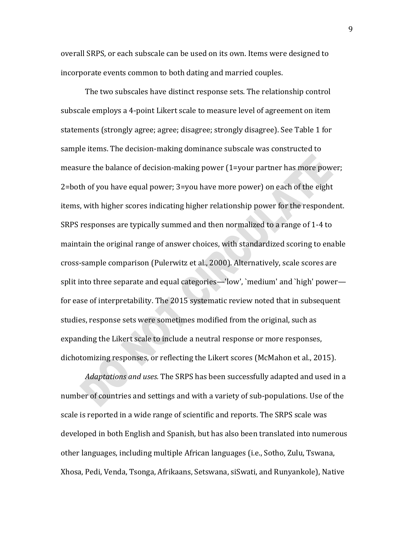overall SRPS, or each subscale can be used on its own. Items were designed to incorporate events common to both dating and married couples.

The two subscales have distinct response sets. The relationship control subscale employs a 4-point Likert scale to measure level of agreement on item statements (strongly agree; agree; disagree; strongly disagree). See Table 1 for sample items. The decision-making dominance subscale was constructed to measure the balance of decision-making power (1=your partner has more power; 2=both of you have equal power; 3=you have more power) on each of the eight items, with higher scores indicating higher relationship power for the respondent. SRPS responses are typically summed and then normalized to a range of 1-4 to maintain the original range of answer choices, with standardized scoring to enable cross-sample comparison (Pulerwitz et al., 2000). Alternatively, scale scores are split into three separate and equal categories—'low', `medium' and `high' power for ease of interpretability. The 2015 systematic review noted that in subsequent studies, response sets were sometimes modified from the original, such as expanding the Likert scale to include a neutral response or more responses, dichotomizing responses, or reflecting the Likert scores (McMahon et al., 2015).

*Adaptations and uses.* The SRPS has been successfully adapted and used in a number of countries and settings and with a variety of sub-populations. Use of the scale is reported in a wide range of scientific and reports. The SRPS scale was developed in both English and Spanish, but has also been translated into numerous other languages, including multiple African languages (i.e., Sotho, Zulu, Tswana, Xhosa, Pedi, Venda, Tsonga, Afrikaans, Setswana, siSwati, and Runyankole), Native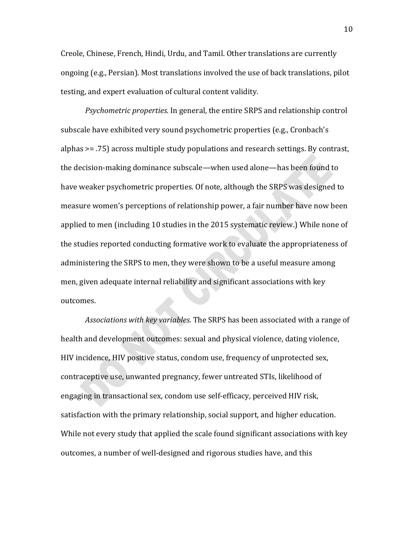Creole, Chinese, French, Hindi, Urdu, and Tamil. Other translations are currently ongoing (e.g., Persian). Most translations involved the use of back translations, pilot testing, and expert evaluation of cultural content validity.

*Psychometric properties.* In general, the entire SRPS and relationship control subscale have exhibited very sound psychometric properties (e.g., Cronbach's alphas >= .75) across multiple study populations and research settings. By contrast, the decision-making dominance subscale—when used alone—has been found to have weaker psychometric properties. Of note, although the SRPS was designed to measure women's perceptions of relationship power, a fair number have now been applied to men (including 10 studies in the 2015 systematic review.) While none of the studies reported conducting formative work to evaluate the appropriateness of administering the SRPS to men, they were shown to be a useful measure among men, given adequate internal reliability and significant associations with key outcomes.

*Associations with key variables.* The SRPS has been associated with a range of health and development outcomes: sexual and physical violence, dating violence, HIV incidence, HIV positive status, condom use, frequency of unprotected sex, contraceptive use, unwanted pregnancy, fewer untreated STIs, likelihood of engaging in transactional sex, condom use self-efficacy, perceived HIV risk, satisfaction with the primary relationship, social support, and higher education. While not every study that applied the scale found significant associations with key outcomes, a number of well-designed and rigorous studies have, and this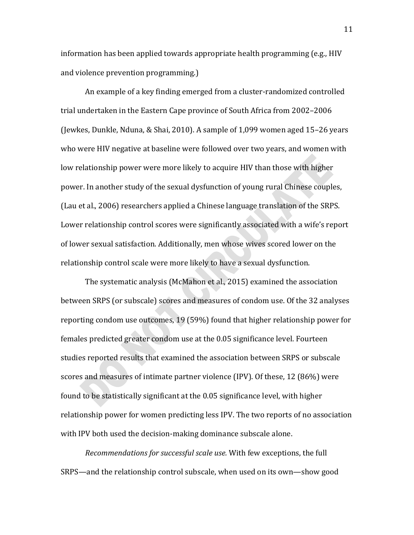information has been applied towards appropriate health programming (e.g., HIV and violence prevention programming.)

An example of a key finding emerged from a cluster-randomized controlled trial undertaken in the Eastern Cape province of South Africa from 2002–2006 (Jewkes, Dunkle, Nduna, & Shai, 2010). A sample of 1,099 women aged 15–26 years who were HIV negative at baseline were followed over two years, and women with low relationship power were more likely to acquire HIV than those with higher power. In another study of the sexual dysfunction of young rural Chinese couples, (Lau et al., 2006) researchers applied a Chinese language translation of the SRPS. Lower relationship control scores were significantly associated with a wife's report of lower sexual satisfaction. Additionally, men whose wives scored lower on the relationship control scale were more likely to have a sexual dysfunction.

The systematic analysis (McMahon et al., 2015) examined the association between SRPS (or subscale) scores and measures of condom use. Of the 32 analyses reporting condom use outcomes, 19 (59%) found that higher relationship power for females predicted greater condom use at the 0.05 significance level. Fourteen studies reported results that examined the association between SRPS or subscale scores and measures of intimate partner violence (IPV). Of these, 12 (86%) were found to be statistically significant at the 0.05 significance level, with higher relationship power for women predicting less IPV. The two reports of no association with IPV both used the decision-making dominance subscale alone.

*Recommendations for successful scale use.* With few exceptions, the full SRPS—and the relationship control subscale, when used on its own—show good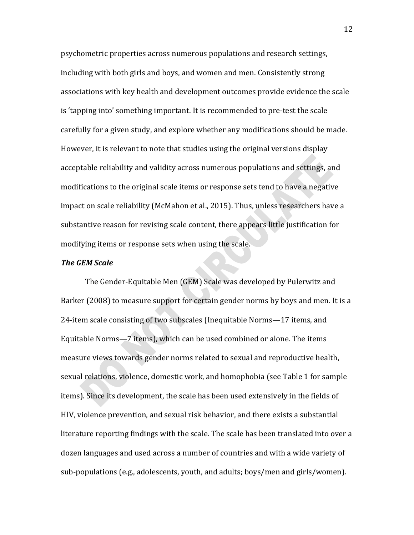psychometric properties across numerous populations and research settings, including with both girls and boys, and women and men. Consistently strong associations with key health and development outcomes provide evidence the scale is 'tapping into' something important. It is recommended to pre-test the scale carefully for a given study, and explore whether any modifications should be made. However, it is relevant to note that studies using the original versions display acceptable reliability and validity across numerous populations and settings, and modifications to the original scale items or response sets tend to have a negative impact on scale reliability (McMahon et al., 2015). Thus, unless researchers have a substantive reason for revising scale content, there appears little justification for modifying items or response sets when using the scale.

#### *The GEM Scale*

The Gender-Equitable Men (GEM) Scale was developed by Pulerwitz and Barker (2008) to measure support for certain gender norms by boys and men. It is a 24-item scale consisting of two subscales (Inequitable Norms—17 items, and Equitable Norms—7 items), which can be used combined or alone. The items measure views towards gender norms related to sexual and reproductive health, sexual relations, violence, domestic work, and homophobia (see Table 1 for sample items). Since its development, the scale has been used extensively in the fields of HIV, violence prevention, and sexual risk behavior, and there exists a substantial literature reporting findings with the scale. The scale has been translated into over a dozen languages and used across a number of countries and with a wide variety of sub-populations (e.g., adolescents, youth, and adults; boys/men and girls/women).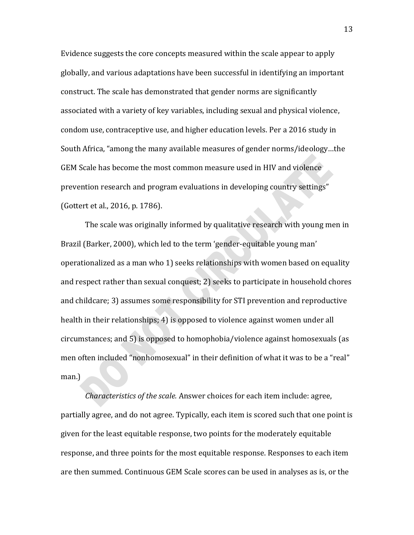Evidence suggests the core concepts measured within the scale appear to apply globally, and various adaptations have been successful in identifying an important construct. The scale has demonstrated that gender norms are significantly associated with a variety of key variables, including sexual and physical violence, condom use, contraceptive use, and higher education levels. Per a 2016 study in South Africa, "among the many available measures of gender norms/ideology…the GEM Scale has become the most common measure used in HIV and violence prevention research and program evaluations in developing country settings" (Gottert et al., 2016, p. 1786).

The scale was originally informed by qualitative research with young men in Brazil (Barker, 2000), which led to the term 'gender-equitable young man' operationalized as a man who 1) seeks relationships with women based on equality and respect rather than sexual conquest; 2) seeks to participate in household chores and childcare; 3) assumes some responsibility for STI prevention and reproductive health in their relationships; 4) is opposed to violence against women under all circumstances; and 5) is opposed to homophobia/violence against homosexuals (as men often included "nonhomosexual" in their definition of what it was to be a "real" man.)

*Characteristics of the scale.* Answer choices for each item include: agree, partially agree, and do not agree. Typically, each item is scored such that one point is given for the least equitable response, two points for the moderately equitable response, and three points for the most equitable response. Responses to each item are then summed. Continuous GEM Scale scores can be used in analyses as is, or the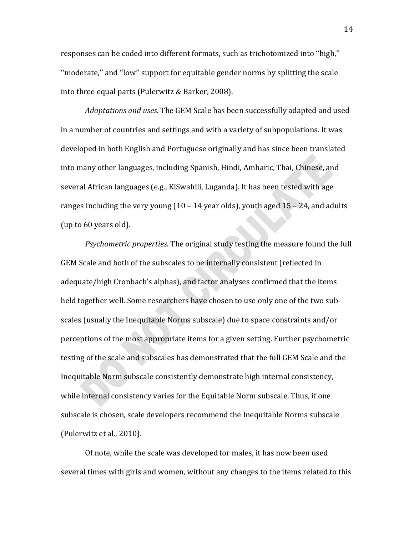responses can be coded into different formats, such as trichotomized into ''high,'' ''moderate,'' and ''low'' support for equitable gender norms by splitting the scale into three equal parts (Pulerwitz & Barker, 2008).

*Adaptations and uses.* The GEM Scale has been successfully adapted and used in a number of countries and settings and with a variety of subpopulations. It was developed in both English and Portuguese originally and has since been translated into many other languages, including Spanish, Hindi, Amharic, Thai, Chinese, and several African languages (e.g., KiSwahili, Luganda). It has been tested with age ranges including the very young  $(10 - 14$  year olds), youth aged  $15 - 24$ , and adults (up to 60 years old).

*Psychometric properties.* The original study testing the measure found the full GEM Scale and both of the subscales to be internally consistent (reflected in adequate/high Cronbach's alphas), and factor analyses confirmed that the items held together well. Some researchers have chosen to use only one of the two subscales (usually the Inequitable Norms subscale) due to space constraints and/or perceptions of the most appropriate items for a given setting. Further psychometric testing of the scale and subscales has demonstrated that the full GEM Scale and the Inequitable Norm subscale consistently demonstrate high internal consistency, while internal consistency varies for the Equitable Norm subscale. Thus, if one subscale is chosen, scale developers recommend the Inequitable Norms subscale (Pulerwitz et al., 2010).

Of note, while the scale was developed for males, it has now been used several times with girls and women, without any changes to the items related to this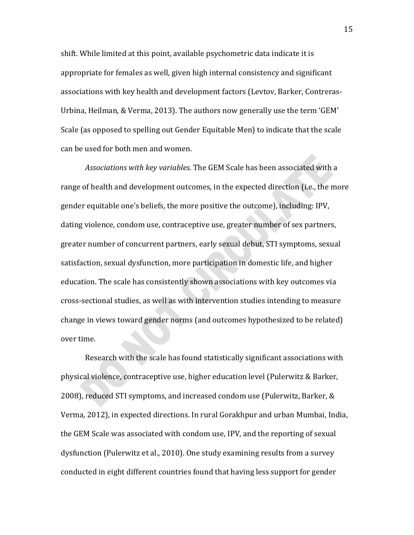shift. While limited at this point, available psychometric data indicate it is appropriate for females as well, given high internal consistency and significant associations with key health and development factors (Levtov, Barker, Contreras-Urbina, Heilman, & Verma, 2013). The authors now generally use the term 'GEM' Scale (as opposed to spelling out Gender Equitable Men) to indicate that the scale can be used for both men and women.

*Associations with key variables.* The GEM Scale has been associated with a range of health and development outcomes, in the expected direction (i.e., the more gender equitable one's beliefs, the more positive the outcome), including: IPV, dating violence, condom use, contraceptive use, greater number of sex partners, greater number of concurrent partners, early sexual debut, STI symptoms, sexual satisfaction, sexual dysfunction, more participation in domestic life, and higher education. The scale has consistently shown associations with key outcomes via cross-sectional studies, as well as with intervention studies intending to measure change in views toward gender norms (and outcomes hypothesized to be related) over time.

Research with the scale has found statistically significant associations with physical violence, contraceptive use, higher education level (Pulerwitz & Barker, 2008), reduced STI symptoms, and increased condom use (Pulerwitz, Barker, & Verma, 2012), in expected directions. In rural Gorakhpur and urban Mumbai, India, the GEM Scale was associated with condom use, IPV, and the reporting of sexual dysfunction (Pulerwitz et al., 2010). One study examining results from a survey conducted in eight different countries found that having less support for gender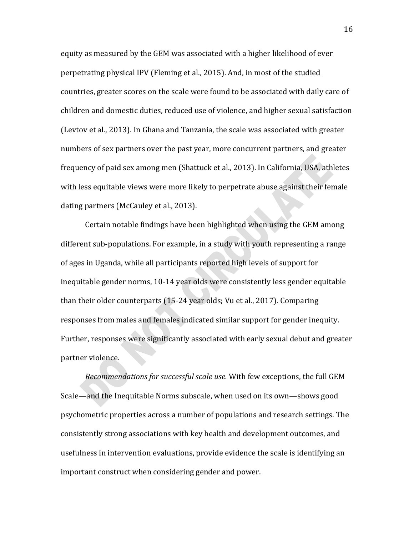equity as measured by the GEM was associated with a higher likelihood of ever perpetrating physical IPV (Fleming et al., 2015). And, in most of the studied countries, greater scores on the scale were found to be associated with daily care of children and domestic duties, reduced use of violence, and higher sexual satisfaction (Levtov et al., 2013). In Ghana and Tanzania, the scale was associated with greater numbers of sex partners over the past year, more concurrent partners, and greater frequency of paid sex among men (Shattuck et al., 2013). In California, USA, athletes with less equitable views were more likely to perpetrate abuse against their female dating partners (McCauley et al., 2013).

Certain notable findings have been highlighted when using the GEM among different sub-populations. For example, in a study with youth representing a range of ages in Uganda, while all participants reported high levels of support for inequitable gender norms, 10-14 year olds were consistently less gender equitable than their older counterparts (15-24 year olds; Vu et al., 2017). Comparing responses from males and females indicated similar support for gender inequity. Further, responses were significantly associated with early sexual debut and greater partner violence.

*Recommendations for successful scale use.* With few exceptions, the full GEM Scale—and the Inequitable Norms subscale, when used on its own—shows good psychometric properties across a number of populations and research settings. The consistently strong associations with key health and development outcomes, and usefulness in intervention evaluations, provide evidence the scale is identifying an important construct when considering gender and power.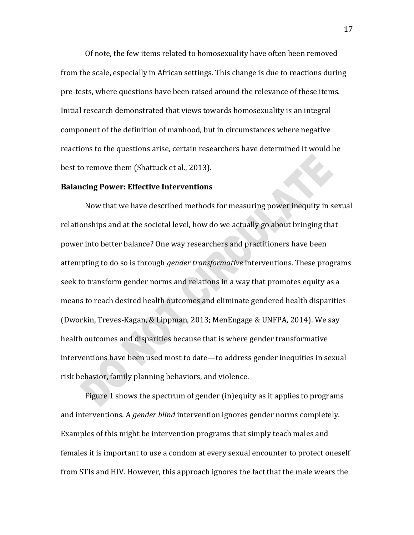Of note, the few items related to homosexuality have often been removed from the scale, especially in African settings. This change is due to reactions during pre-tests, where questions have been raised around the relevance of these items. Initial research demonstrated that views towards homosexuality is an integral component of the definition of manhood, but in circumstances where negative reactions to the questions arise, certain researchers have determined it would be best to remove them (Shattuck et al., 2013).

# **Balancing Power: Effective Interventions**

Now that we have described methods for measuring power inequity in sexual relationships and at the societal level, how do we actually go about bringing that power into better balance? One way researchers and practitioners have been attempting to do so is through *gender transformative* interventions. These programs seek to transform gender norms and relations in a way that promotes equity as a means to reach desired health outcomes and eliminate gendered health disparities (Dworkin, Treves-Kagan, & Lippman, 2013; MenEngage & UNFPA, 2014). We say health outcomes and disparities because that is where gender transformative interventions have been used most to date—to address gender inequities in sexual risk behavior, family planning behaviors, and violence.

Figure 1 shows the spectrum of gender (in)equity as it applies to programs and interventions. A *gender blind* intervention ignores gender norms completely. Examples of this might be intervention programs that simply teach males and females it is important to use a condom at every sexual encounter to protect oneself from STIs and HIV. However, this approach ignores the fact that the male wears the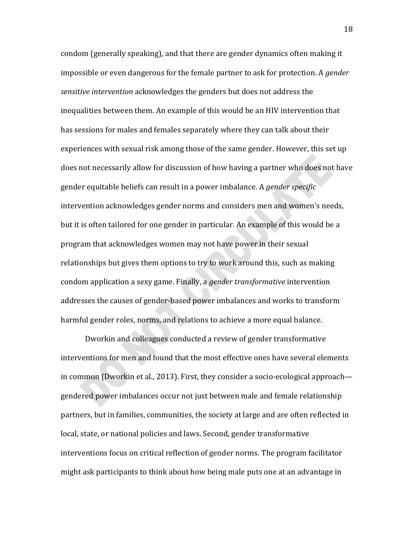condom (generally speaking), and that there are gender dynamics often making it impossible or even dangerous for the female partner to ask for protection. A *gender sensitive intervention* acknowledges the genders but does not address the inequalities between them. An example of this would be an HIV intervention that has sessions for males and females separately where they can talk about their experiences with sexual risk among those of the same gender. However, this set up does not necessarily allow for discussion of how having a partner who does not have gender equitable beliefs can result in a power imbalance. A *gender specific*  intervention acknowledges gender norms and considers men and women's needs, but it is often tailored for one gender in particular. An example of this would be a program that acknowledges women may not have power in their sexual relationships but gives them options to try to work around this, such as making condom application a sexy game. Finally, a *gender transformative* intervention addresses the causes of gender-based power imbalances and works to transform harmful gender roles, norms, and relations to achieve a more equal balance.

Dworkin and colleagues conducted a review of gender transformative interventions for men and found that the most effective ones have several elements in common (Dworkin et al., 2013). First, they consider a socio-ecological approach gendered power imbalances occur not just between male and female relationship partners, but in families, communities, the society at large and are often reflected in local, state, or national policies and laws. Second, gender transformative interventions focus on critical reflection of gender norms. The program facilitator might ask participants to think about how being male puts one at an advantage in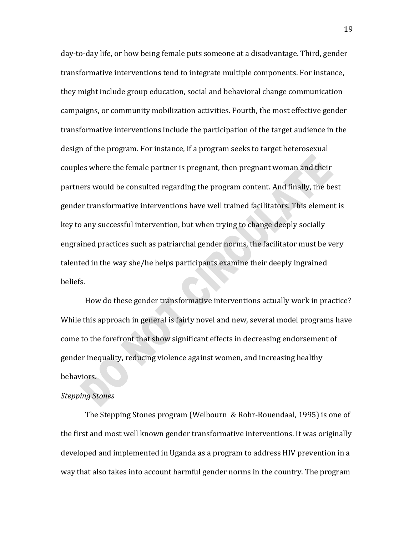day-to-day life, or how being female puts someone at a disadvantage. Third, gender transformative interventions tend to integrate multiple components. For instance, they might include group education, social and behavioral change communication campaigns, or community mobilization activities. Fourth, the most effective gender transformative interventions include the participation of the target audience in the design of the program. For instance, if a program seeks to target heterosexual couples where the female partner is pregnant, then pregnant woman and their partners would be consulted regarding the program content. And finally, the best gender transformative interventions have well trained facilitators. This element is key to any successful intervention, but when trying to change deeply socially engrained practices such as patriarchal gender norms, the facilitator must be very talented in the way she/he helps participants examine their deeply ingrained beliefs.

How do these gender transformative interventions actually work in practice? While this approach in general is fairly novel and new, several model programs have come to the forefront that show significant effects in decreasing endorsement of gender inequality, reducing violence against women, and increasing healthy behaviors.

#### *Stepping Stones*

The Stepping Stones program (Welbourn & Rohr-Rouendaal, 1995) is one of the first and most well known gender transformative interventions. It was originally developed and implemented in Uganda as a program to address HIV prevention in a way that also takes into account harmful gender norms in the country. The program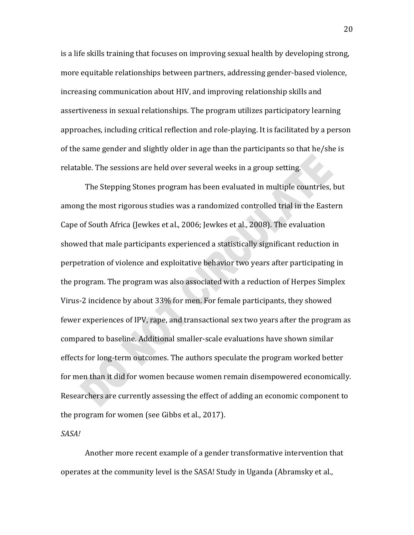is a life skills training that focuses on improving sexual health by developing strong, more equitable relationships between partners, addressing gender-based violence, increasing communication about HIV, and improving relationship skills and assertiveness in sexual relationships. The program utilizes participatory learning approaches, including critical reflection and role-playing. It is facilitated by a person of the same gender and slightly older in age than the participants so that he/she is relatable. The sessions are held over several weeks in a group setting.

The Stepping Stones program has been evaluated in multiple countries, but among the most rigorous studies was a randomized controlled trial in the Eastern Cape of South Africa (Jewkes et al., 2006; Jewkes et al., 2008). The evaluation showed that male participants experienced a statistically significant reduction in perpetration of violence and exploitative behavior two years after participating in the program. The program was also associated with a reduction of Herpes Simplex Virus-2 incidence by about 33% for men. For female participants, they showed fewer experiences of IPV, rape, and transactional sex two years after the program as compared to baseline. Additional smaller-scale evaluations have shown similar effects for long-term outcomes. The authors speculate the program worked better for men than it did for women because women remain disempowered economically. Researchers are currently assessing the effect of adding an economic component to the program for women (see Gibbs et al., 2017).

*SASA!*

Another more recent example of a gender transformative intervention that operates at the community level is the SASA! Study in Uganda (Abramsky et al.,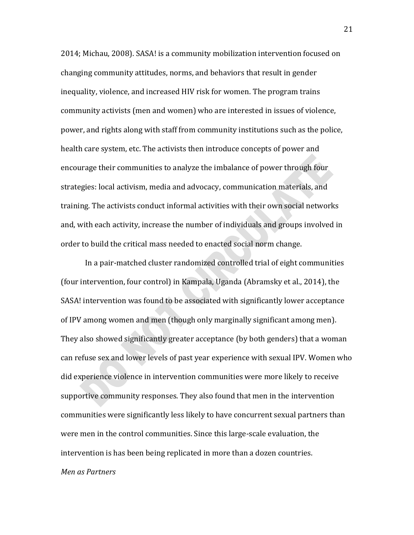2014; Michau, 2008). SASA! is a community mobilization intervention focused on changing community attitudes, norms, and behaviors that result in gender inequality, violence, and increased HIV risk for women. The program trains community activists (men and women) who are interested in issues of violence, power, and rights along with staff from community institutions such as the police, health care system, etc. The activists then introduce concepts of power and encourage their communities to analyze the imbalance of power through four strategies: local activism, media and advocacy, communication materials, and training. The activists conduct informal activities with their own social networks and, with each activity, increase the number of individuals and groups involved in order to build the critical mass needed to enacted social norm change.

In a pair-matched cluster randomized controlled trial of eight communities (four intervention, four control) in Kampala, Uganda (Abramsky et al., 2014), the SASA! intervention was found to be associated with significantly lower acceptance of IPV among women and men (though only marginally significant among men). They also showed significantly greater acceptance (by both genders) that a woman can refuse sex and lower levels of past year experience with sexual IPV. Women who did experience violence in intervention communities were more likely to receive supportive community responses. They also found that men in the intervention communities were significantly less likely to have concurrent sexual partners than were men in the control communities. Since this large-scale evaluation, the intervention is has been being replicated in more than a dozen countries.

# *Men as Partners*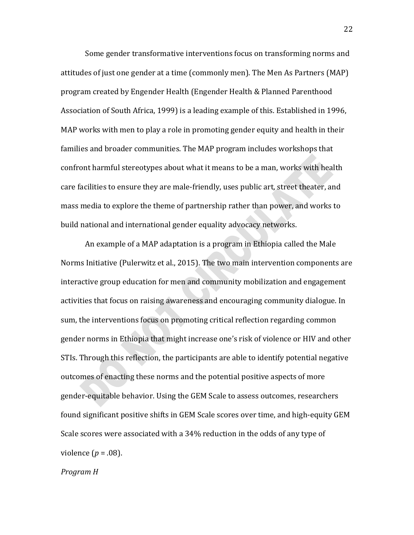Some gender transformative interventions focus on transforming norms and attitudes of just one gender at a time (commonly men). The Men As Partners (MAP) program created by Engender Health (Engender Health & Planned Parenthood Association of South Africa, 1999) is a leading example of this. Established in 1996, MAP works with men to play a role in promoting gender equity and health in their families and broader communities. The MAP program includes workshops that confront harmful stereotypes about what it means to be a man, works with health care facilities to ensure they are male-friendly, uses public art, street theater, and mass media to explore the theme of partnership rather than power, and works to build national and international gender equality advocacy networks.

An example of a MAP adaptation is a program in Ethiopia called the Male Norms Initiative (Pulerwitz et al., 2015). The two main intervention components are interactive group education for men and community mobilization and engagement activities that focus on raising awareness and encouraging community dialogue. In sum, the interventions focus on promoting critical reflection regarding common gender norms in Ethiopia that might increase one's risk of violence or HIV and other STIs. Through this reflection, the participants are able to identify potential negative outcomes of enacting these norms and the potential positive aspects of more gender-equitable behavior. Using the GEM Scale to assess outcomes, researchers found significant positive shifts in GEM Scale scores over time, and high-equity GEM Scale scores were associated with a 34% reduction in the odds of any type of violence (*p* = .08).

*Program H*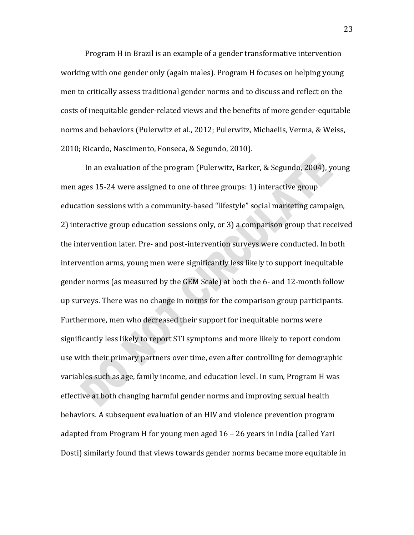Program H in Brazil is an example of a gender transformative intervention working with one gender only (again males). Program H focuses on helping young men to critically assess traditional gender norms and to discuss and reflect on the costs of inequitable gender-related views and the benefits of more gender-equitable norms and behaviors (Pulerwitz et al., 2012; Pulerwitz, Michaelis, Verma, & Weiss, 2010; Ricardo, Nascimento, Fonseca, & Segundo, 2010).

In an evaluation of the program (Pulerwitz, Barker, & Segundo, 2004), young men ages 15-24 were assigned to one of three groups: 1) interactive group education sessions with a community-based "lifestyle" social marketing campaign, 2) interactive group education sessions only, or 3) a comparison group that received the intervention later. Pre- and post-intervention surveys were conducted. In both intervention arms, young men were significantly less likely to support inequitable gender norms (as measured by the GEM Scale) at both the 6- and 12-month follow up surveys. There was no change in norms for the comparison group participants. Furthermore, men who decreased their support for inequitable norms were significantly less likely to report STI symptoms and more likely to report condom use with their primary partners over time, even after controlling for demographic variables such as age, family income, and education level. In sum, Program H was effective at both changing harmful gender norms and improving sexual health behaviors. A subsequent evaluation of an HIV and violence prevention program adapted from Program H for young men aged 16 – 26 years in India (called Yari Dosti) similarly found that views towards gender norms became more equitable in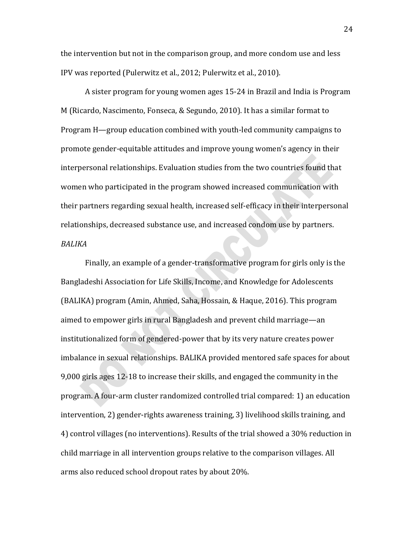the intervention but not in the comparison group, and more condom use and less IPV was reported (Pulerwitz et al., 2012; Pulerwitz et al., 2010).

A sister program for young women ages 15-24 in Brazil and India is Program M (Ricardo, Nascimento, Fonseca, & Segundo, 2010). It has a similar format to Program H—group education combined with youth-led community campaigns to promote gender-equitable attitudes and improve young women's agency in their interpersonal relationships. Evaluation studies from the two countries found that women who participated in the program showed increased communication with their partners regarding sexual health, increased self-efficacy in their interpersonal relationships, decreased substance use, and increased condom use by partners. *BALIKA*

Finally, an example of a gender-transformative program for girls only is the Bangladeshi Association for Life Skills, Income, and Knowledge for Adolescents (BALIKA) program (Amin, Ahmed, Saha, Hossain, & Haque, 2016). This program aimed to empower girls in rural Bangladesh and prevent child marriage—an institutionalized form of gendered-power that by its very nature creates power imbalance in sexual relationships. BALIKA provided mentored safe spaces for about 9,000 girls ages 12-18 to increase their skills, and engaged the community in the program. A four-arm cluster randomized controlled trial compared: 1) an education intervention, 2) gender-rights awareness training, 3) livelihood skills training, and 4) control villages (no interventions). Results of the trial showed a 30% reduction in child marriage in all intervention groups relative to the comparison villages. All arms also reduced school dropout rates by about 20%.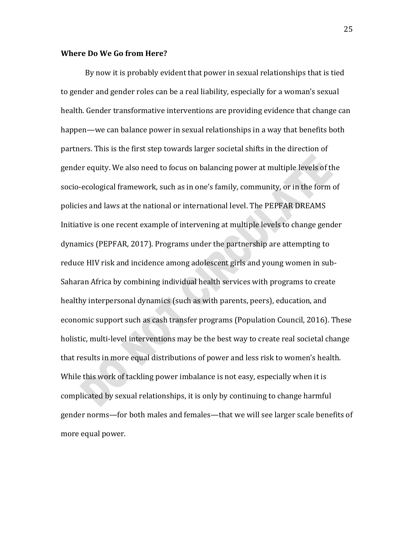#### **Where Do We Go from Here?**

By now it is probably evident that power in sexual relationships that is tied to gender and gender roles can be a real liability, especially for a woman's sexual health. Gender transformative interventions are providing evidence that change can happen—we can balance power in sexual relationships in a way that benefits both partners. This is the first step towards larger societal shifts in the direction of gender equity. We also need to focus on balancing power at multiple levels of the socio-ecological framework, such as in one's family, community, or in the form of policies and laws at the national or international level. The PEPFAR DREAMS Initiative is one recent example of intervening at multiple levels to change gender dynamics (PEPFAR, 2017). Programs under the partnership are attempting to reduce HIV risk and incidence among adolescent girls and young women in sub-Saharan Africa by combining individual health services with programs to create healthy interpersonal dynamics (such as with parents, peers), education, and economic support such as cash transfer programs (Population Council, 2016). These holistic, multi-level interventions may be the best way to create real societal change that results in more equal distributions of power and less risk to women's health. While this work of tackling power imbalance is not easy, especially when it is complicated by sexual relationships, it is only by continuing to change harmful gender norms—for both males and females—that we will see larger scale benefits of more equal power.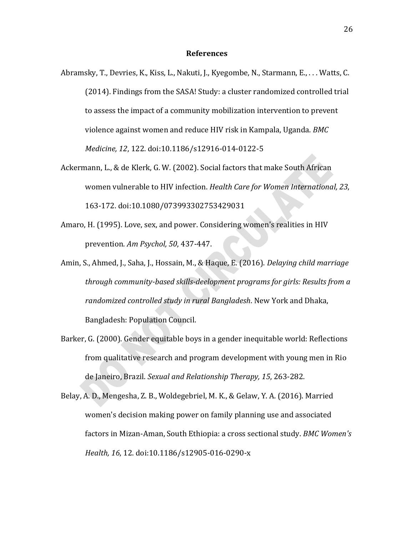#### **References**

- Abramsky, T., Devries, K., Kiss, L., Nakuti, J., Kyegombe, N., Starmann, E., . . . Watts, C. (2014). Findings from the SASA! Study: a cluster randomized controlled trial to assess the impact of a community mobilization intervention to prevent violence against women and reduce HIV risk in Kampala, Uganda. *BMC Medicine, 12*, 122. doi:10.1186/s12916-014-0122-5
- Ackermann, L., & de Klerk, G. W. (2002). Social factors that make South African women vulnerable to HIV infection. *Health Care for Women International, 23*, 163-172. doi:10.1080/073993302753429031
- Amaro, H. (1995). Love, sex, and power. Considering women's realities in HIV prevention. *Am Psychol, 50*, 437-447.
- Amin, S., Ahmed, J., Saha, J., Hossain, M., & Haque, E. (2016). *Delaying child marriage through community-based skills-deelopment programs for girls: Results from a randomized controlled study in rural Bangladesh*. New York and Dhaka, Bangladesh: Population Council.
- Barker, G. (2000). Gender equitable boys in a gender inequitable world: Reflections from qualitative research and program development with young men in Rio de Janeiro, Brazil. *Sexual and Relationship Therapy, 15*, 263-282.
- Belay, A. D., Mengesha, Z. B., Woldegebriel, M. K., & Gelaw, Y. A. (2016). Married women's decision making power on family planning use and associated factors in Mizan-Aman, South Ethiopia: a cross sectional study. *BMC Women's Health, 16*, 12. doi:10.1186/s12905-016-0290-x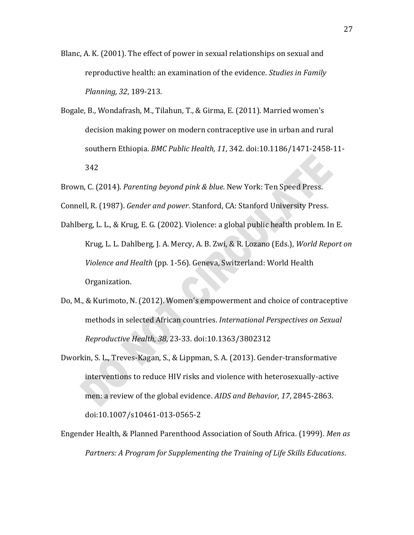- Blanc, A. K. (2001). The effect of power in sexual relationships on sexual and reproductive health: an examination of the evidence. *Studies in Family Planning, 32*, 189-213.
- Bogale, B., Wondafrash, M., Tilahun, T., & Girma, E. (2011). Married women's decision making power on modern contraceptive use in urban and rural southern Ethiopia. *BMC Public Health, 11*, 342. doi:10.1186/1471-2458-11- 342
- Brown, C. (2014). *Parenting beyond pink & blue*. New York: Ten Speed Press.
- Connell, R. (1987). *Gender and power*. Stanford, CA: Stanford University Press.
- Dahlberg, L. L., & Krug, E. G. (2002). Violence: a global public health problem. In E. Krug, L. L. Dahlberg, J. A. Mercy, A. B. Zwi, & R. Lozano (Eds.), *World Report on Violence and Health* (pp. 1-56)*.* Geneva, Switzerland: World Health Organization.
- Do, M., & Kurimoto, N. (2012). Women's empowerment and choice of contraceptive methods in selected African countries. *International Perspectives on Sexual Reproductive Health, 38*, 23-33. doi:10.1363/3802312
- Dworkin, S. L., Treves-Kagan, S., & Lippman, S. A. (2013). Gender-transformative interventions to reduce HIV risks and violence with heterosexually-active men: a review of the global evidence. *AIDS and Behavior, 17*, 2845-2863. doi:10.1007/s10461-013-0565-2
- Engender Health, & Planned Parenthood Association of South Africa. (1999). *Men as Partners: A Program for Supplementing the Training of Life Skills Educations*.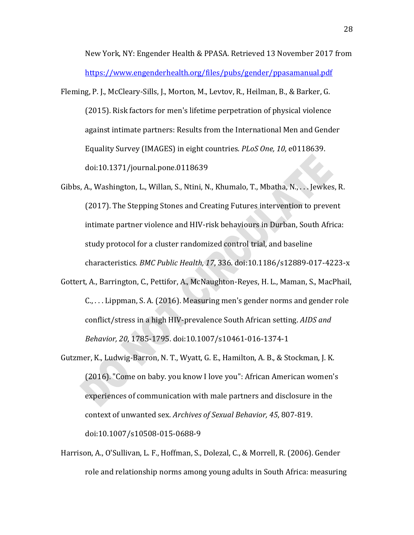New York, NY: Engender Health & PPASA. Retrieved 13 November 2017 from <https://www.engenderhealth.org/files/pubs/gender/ppasamanual.pdf>

- Fleming, P. J., McCleary-Sills, J., Morton, M., Levtov, R., Heilman, B., & Barker, G. (2015). Risk factors for men's lifetime perpetration of physical violence against intimate partners: Results from the International Men and Gender Equality Survey (IMAGES) in eight countries. *PLoS One, 10*, e0118639. doi:10.1371/journal.pone.0118639
- Gibbs, A., Washington, L., Willan, S., Ntini, N., Khumalo, T., Mbatha, N., . . . Jewkes, R. (2017). The Stepping Stones and Creating Futures intervention to prevent intimate partner violence and HIV-risk behaviours in Durban, South Africa: study protocol for a cluster randomized control trial, and baseline characteristics. *BMC Public Health, 17*, 336. doi:10.1186/s12889-017-4223-x
- Gottert, A., Barrington, C., Pettifor, A., McNaughton-Reyes, H. L., Maman, S., MacPhail, C., . . . Lippman, S. A. (2016). Measuring men's gender norms and gender role conflict/stress in a high HIV-prevalence South African setting. *AIDS and Behavior, 20*, 1785-1795. doi:10.1007/s10461-016-1374-1
- Gutzmer, K., Ludwig-Barron, N. T., Wyatt, G. E., Hamilton, A. B., & Stockman, J. K. (2016). "Come on baby. you know I love you": African American women's experiences of communication with male partners and disclosure in the context of unwanted sex. *Archives of Sexual Behavior, 45*, 807-819. doi:10.1007/s10508-015-0688-9
- Harrison, A., O'Sullivan, L. F., Hoffman, S., Dolezal, C., & Morrell, R. (2006). Gender role and relationship norms among young adults in South Africa: measuring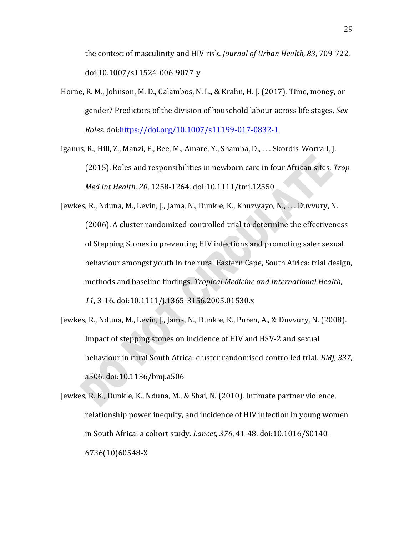the context of masculinity and HIV risk. *Journal of Urban Health, 83*, 709-722. doi:10.1007/s11524-006-9077-y

Horne, R. M., Johnson, M. D., Galambos, N. L., & Krahn, H. J. (2017). Time, money, or gender? Predictors of the division of household labour across life stages. *Sex Roles*. doi[:https://doi.org/10.1007/s11199-017-0832-1](https://doi.org/10.1007/s11199-017-0832-1)

Iganus, R., Hill, Z., Manzi, F., Bee, M., Amare, Y., Shamba, D., . . . Skordis-Worrall, J. (2015). Roles and responsibilities in newborn care in four African sites. *Trop Med Int Health, 20*, 1258-1264. doi:10.1111/tmi.12550

Jewkes, R., Nduna, M., Levin, J., Jama, N., Dunkle, K., Khuzwayo, N., . . . Duvvury, N. (2006). A cluster randomized-controlled trial to determine the effectiveness of Stepping Stones in preventing HIV infections and promoting safer sexual behaviour amongst youth in the rural Eastern Cape, South Africa: trial design, methods and baseline findings. *Tropical Medicine and International Health, 11*, 3-16. doi:10.1111/j.1365-3156.2005.01530.x

Jewkes, R., Nduna, M., Levin, J., Jama, N., Dunkle, K., Puren, A., & Duvvury, N. (2008). Impact of stepping stones on incidence of HIV and HSV-2 and sexual behaviour in rural South Africa: cluster randomised controlled trial. *BMJ, 337*, a506. doi:10.1136/bmj.a506

Jewkes, R. K., Dunkle, K., Nduna, M., & Shai, N. (2010). Intimate partner violence, relationship power inequity, and incidence of HIV infection in young women in South Africa: a cohort study. *Lancet, 376*, 41-48. doi:10.1016/S0140- 6736(10)60548-X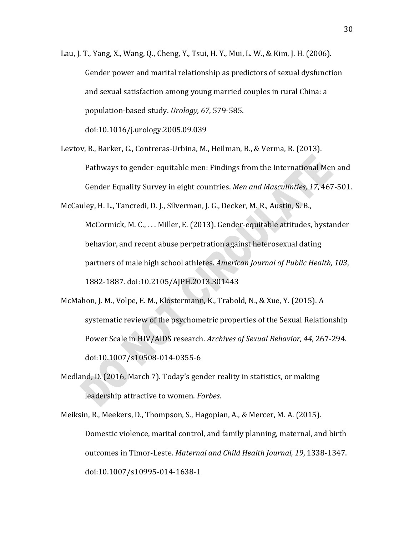- Lau, J. T., Yang, X., Wang, Q., Cheng, Y., Tsui, H. Y., Mui, L. W., & Kim, J. H. (2006). Gender power and marital relationship as predictors of sexual dysfunction and sexual satisfaction among young married couples in rural China: a population-based study. *Urology, 67*, 579-585. doi:10.1016/j.urology.2005.09.039
- Levtov, R., Barker, G., Contreras-Urbina, M., Heilman, B., & Verma, R. (2013). Pathways to gender-equitable men: Findings from the International Men and Gender Equality Survey in eight countries. *Men and Masculinties, 17*, 467-501.

McCauley, H. L., Tancredi, D. J., Silverman, J. G., Decker, M. R., Austin, S. B., McCormick, M. C., . . . Miller, E. (2013). Gender-equitable attitudes, bystander behavior, and recent abuse perpetration against heterosexual dating partners of male high school athletes. *American Journal of Public Health, 103*, 1882-1887. doi:10.2105/AJPH.2013.301443

McMahon, J. M., Volpe, E. M., Klostermann, K., Trabold, N., & Xue, Y. (2015). A systematic review of the psychometric properties of the Sexual Relationship Power Scale in HIV/AIDS research. *Archives of Sexual Behavior, 44*, 267-294. doi:10.1007/s10508-014-0355-6

Medland, D. (2016, March 7). Today's gender reality in statistics, or making leadership attractive to women. *Forbes*.

Meiksin, R., Meekers, D., Thompson, S., Hagopian, A., & Mercer, M. A. (2015). Domestic violence, marital control, and family planning, maternal, and birth outcomes in Timor-Leste. *Maternal and Child Health Journal, 19*, 1338-1347. doi:10.1007/s10995-014-1638-1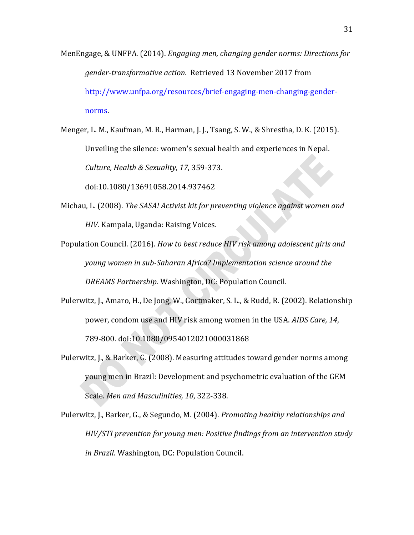- MenEngage, & UNFPA. (2014). *Engaging men, changing gender norms: Directions for gender-transformative action*. Retrieved 13 November 2017 from [http://www.unfpa.org/resources/brief-engaging-men-changing-gender](http://www.unfpa.org/resources/brief-engaging-men-changing-gender-norms)[norms.](http://www.unfpa.org/resources/brief-engaging-men-changing-gender-norms)
- Menger, L. M., Kaufman, M. R., Harman, J. J., Tsang, S. W., & Shrestha, D. K. (2015). Unveiling the silence: women's sexual health and experiences in Nepal. *Culture, Health & Sexuality, 17*, 359-373.

doi:10.1080/13691058.2014.937462

- Michau, L. (2008). *The SASA! Activist kit for preventing violence against women and HIV.* Kampala, Uganda: Raising Voices.
- Population Council. (2016). *How to best reduce HIV risk among adolescent girls and young women in sub-Saharan Africa? Implementation science around the DREAMS Partnership*. Washington, DC: Population Council.
- Pulerwitz, J., Amaro, H., De Jong, W., Gortmaker, S. L., & Rudd, R. (2002). Relationship power, condom use and HIV risk among women in the USA. *AIDS Care, 14*, 789-800. doi:10.1080/0954012021000031868
- Pulerwitz, J., & Barker, G. (2008). Measuring attitudes toward gender norms among young men in Brazil: Development and psychometric evaluation of the GEM Scale. *Men and Masculinities, 10*, 322-338.
- Pulerwitz, J., Barker, G., & Segundo, M. (2004). *Promoting healthy relationships and HIV/STI prevention for young men: Positive findings from an intervention study in Brazil*. Washington, DC: Population Council.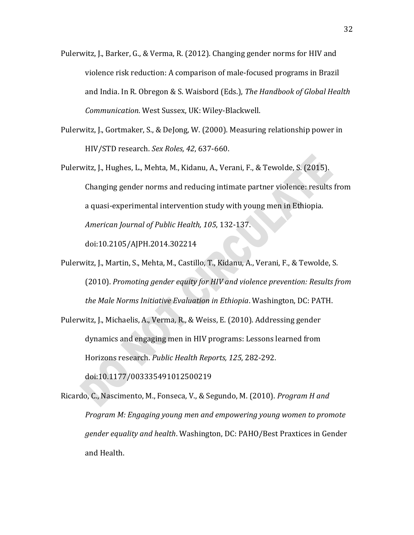- Pulerwitz, J., Barker, G., & Verma, R. (2012). Changing gender norms for HIV and violence risk reduction: A comparison of male-focused programs in Brazil and India. In R. Obregon & S. Waisbord (Eds.), *The Handbook of Global Health Communication*. West Sussex, UK: Wiley-Blackwell.
- Pulerwitz, J., Gortmaker, S., & DeJong, W. (2000). Measuring relationship power in HIV/STD research. *Sex Roles, 42*, 637-660.
- Pulerwitz, J., Hughes, L., Mehta, M., Kidanu, A., Verani, F., & Tewolde, S. (2015). Changing gender norms and reducing intimate partner violence: results from a quasi-experimental intervention study with young men in Ethiopia. *American Journal of Public Health, 105*, 132-137. doi:10.2105/AJPH.2014.302214
- Pulerwitz, J., Martin, S., Mehta, M., Castillo, T., Kidanu, A., Verani, F., & Tewolde, S. (2010). *Promoting gender equity for HIV and violence prevention: Results from the Male Norms Initiative Evaluation in Ethiopia*. Washington, DC: PATH.

Pulerwitz, J., Michaelis, A., Verma, R., & Weiss, E. (2010). Addressing gender dynamics and engaging men in HIV programs: Lessons learned from Horizons research. *Public Health Reports, 125*, 282-292. doi:10.1177/003335491012500219

Ricardo, C., Nascimento, M., Fonseca, V., & Segundo, M. (2010). *Program H and Program M: Engaging young men and empowering young women to promote gender equality and health*. Washington, DC: PAHO/Best Praxtices in Gender and Health.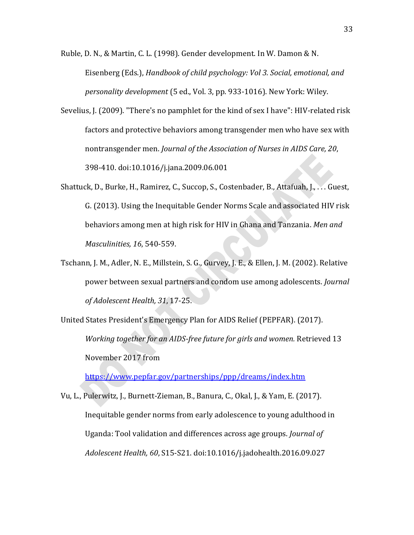Ruble, D. N., & Martin, C. L. (1998). Gender development. In W. Damon & N. Eisenberg (Eds.), *Handbook of child psychology: Vol 3. Social, emotional, and personality development* (5 ed., Vol. 3, pp. 933-1016). New York: Wiley.

- Sevelius, J. (2009). "There's no pamphlet for the kind of sex I have": HIV-related risk factors and protective behaviors among transgender men who have sex with nontransgender men. *Journal of the Association of Nurses in AIDS Care, 20*, 398-410. doi:10.1016/j.jana.2009.06.001
- Shattuck, D., Burke, H., Ramirez, C., Succop, S., Costenbader, B., Attafuah, J., . . . Guest, G. (2013). Using the Inequitable Gender Norms Scale and associated HIV risk behaviors among men at high risk for HIV in Ghana and Tanzania. *Men and Masculinities, 16*, 540-559.
- Tschann, J. M., Adler, N. E., Millstein, S. G., Gurvey, J. E., & Ellen, J. M. (2002). Relative power between sexual partners and condom use among adolescents. *Journal of Adolescent Health, 31*, 17-25.
- United States President's Emergency Plan for AIDS Relief (PEPFAR). (2017). *Working together for an AIDS-free future for girls and women.* Retrieved 13 November 2017 from

<https://www.pepfar.gov/partnerships/ppp/dreams/index.htm>

Vu, L., Pulerwitz, J., Burnett-Zieman, B., Banura, C., Okal, J., & Yam, E. (2017). Inequitable gender norms from early adolescence to young adulthood in Uganda: Tool validation and differences across age groups. *Journal of Adolescent Health, 60*, S15-S21. doi:10.1016/j.jadohealth.2016.09.027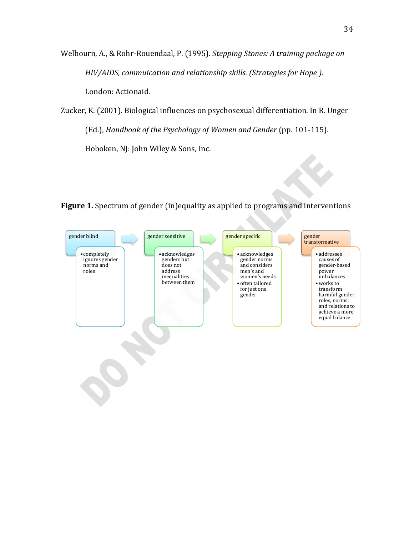Welbourn, A., & Rohr-Rouendaal, P. (1995). *Stepping Stones: A training package on HIV/AIDS, commuication and relationship skills. (Strategies for Hope ).*  London: Actionaid.

Zucker, K. (2001). Biological influences on psychosexual differentiation. In R. Unger (Ed.), *Handbook of the Psychology of Women and Gender* (pp. 101-115). Hoboken, NJ: John Wiley & Sons, Inc.



**Figure 1.** Spectrum of gender (in)equality as applied to programs and interventions